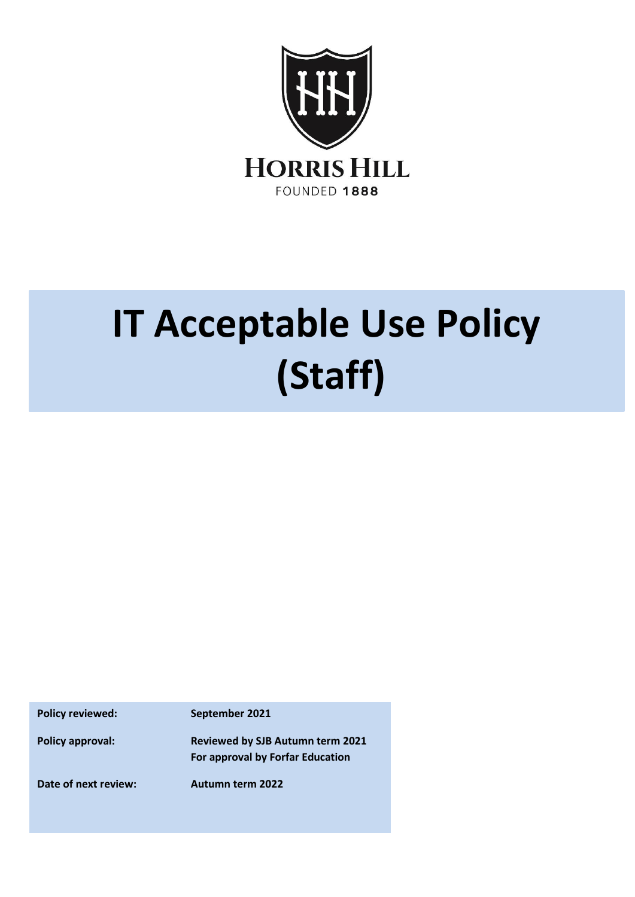

## **IT Acceptable Use Policy (Staff)**

**Policy reviewed: September 2021**

**Policy approval: Reviewed by SJB Autumn term 2021 For approval by Forfar Education** 

**Date of next review: Autumn term 2022**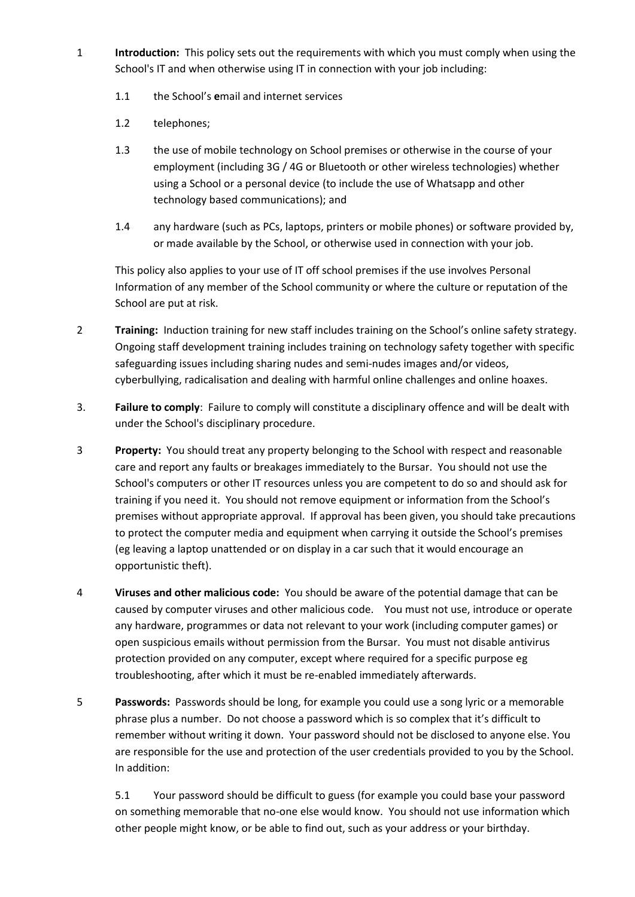- 1 **Introduction:** This policy sets out the requirements with which you must comply when using the School's IT and when otherwise using IT in connection with your job including:
	- 1.1 the School's **e**mail and internet services
	- 1.2 telephones;
	- 1.3 the use of mobile technology on School premises or otherwise in the course of your employment (including 3G / 4G or Bluetooth or other wireless technologies) whether using a School or a personal device (to include the use of Whatsapp and other technology based communications); and
	- 1.4 any hardware (such as PCs, laptops, printers or mobile phones) or software provided by, or made available by the School, or otherwise used in connection with your job.

This policy also applies to your use of IT off school premises if the use involves Personal Information of any member of the School community or where the culture or reputation of the School are put at risk.

- 2 **Training:** Induction training for new staff includes training on the School's online safety strategy. Ongoing staff development training includes training on technology safety together with specific safeguarding issues including sharing nudes and semi-nudes images and/or videos, cyberbullying, radicalisation and dealing with harmful online challenges and online hoaxes.
- 3. **Failure to comply**: Failure to comply will constitute a disciplinary offence and will be dealt with under the School's disciplinary procedure.
- 3 **Property:** You should treat any property belonging to the School with respect and reasonable care and report any faults or breakages immediately to the Bursar. You should not use the School's computers or other IT resources unless you are competent to do so and should ask for training if you need it. You should not remove equipment or information from the School's premises without appropriate approval. If approval has been given, you should take precautions to protect the computer media and equipment when carrying it outside the School's premises (eg leaving a laptop unattended or on display in a car such that it would encourage an opportunistic theft).
- 4 **Viruses and other malicious code:** You should be aware of the potential damage that can be caused by computer viruses and other malicious code. You must not use, introduce or operate any hardware, programmes or data not relevant to your work (including computer games) or open suspicious emails without permission from the Bursar. You must not disable antivirus protection provided on any computer, except where required for a specific purpose eg troubleshooting, after which it must be re-enabled immediately afterwards.
- 5 **Passwords:** Passwords should be long, for example you could use a song lyric or a memorable phrase plus a number. Do not choose a password which is so complex that it's difficult to remember without writing it down. Your password should not be disclosed to anyone else. You are responsible for the use and protection of the user credentials provided to you by the School. In addition:

5.1 Your password should be difficult to guess (for example you could base your password on something memorable that no-one else would know. You should not use information which other people might know, or be able to find out, such as your address or your birthday.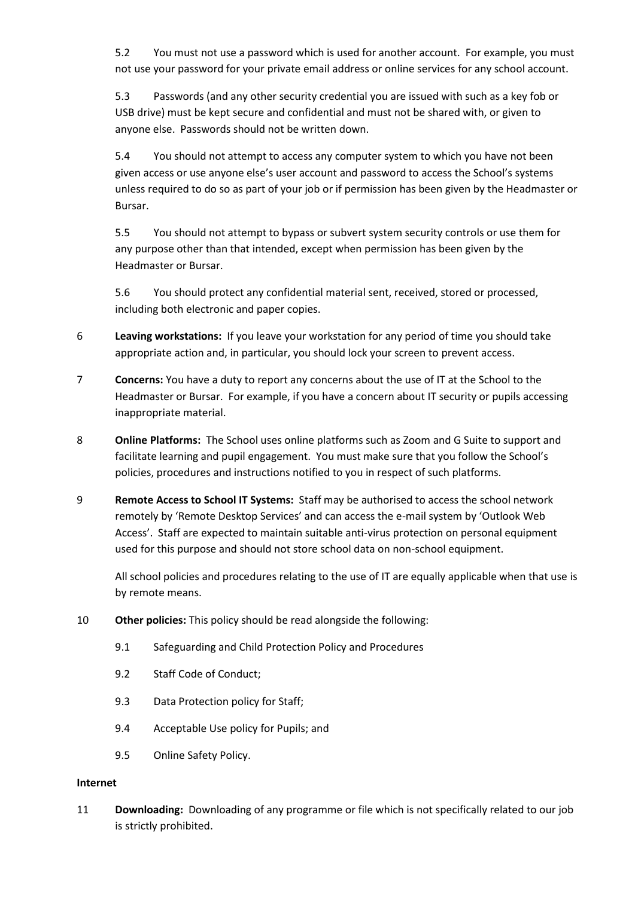5.2 You must not use a password which is used for another account. For example, you must not use your password for your private email address or online services for any school account.

5.3 Passwords (and any other security credential you are issued with such as a key fob or USB drive) must be kept secure and confidential and must not be shared with, or given to anyone else. Passwords should not be written down.

5.4 You should not attempt to access any computer system to which you have not been given access or use anyone else's user account and password to access the School's systems unless required to do so as part of your job or if permission has been given by the Headmaster or Bursar.

5.5 You should not attempt to bypass or subvert system security controls or use them for any purpose other than that intended, except when permission has been given by the Headmaster or Bursar.

5.6 You should protect any confidential material sent, received, stored or processed, including both electronic and paper copies.

- 6 **Leaving workstations:** If you leave your workstation for any period of time you should take appropriate action and, in particular, you should lock your screen to prevent access.
- 7 **Concerns:** You have a duty to report any concerns about the use of IT at the School to the Headmaster or Bursar. For example, if you have a concern about IT security or pupils accessing inappropriate material.
- 8 **Online Platforms:** The School uses online platforms such as Zoom and G Suite to support and facilitate learning and pupil engagement. You must make sure that you follow the School's policies, procedures and instructions notified to you in respect of such platforms.
- 9 **Remote Access to School IT Systems:** Staff may be authorised to access the school network remotely by 'Remote Desktop Services' and can access the e-mail system by 'Outlook Web Access'. Staff are expected to maintain suitable anti-virus protection on personal equipment used for this purpose and should not store school data on non-school equipment.

All school policies and procedures relating to the use of IT are equally applicable when that use is by remote means.

- 10 **Other policies:** This policy should be read alongside the following:
	- 9.1 Safeguarding and Child Protection Policy and Procedures
	- 9.2 Staff Code of Conduct;
	- 9.3 Data Protection policy for Staff;
	- 9.4 Acceptable Use policy for Pupils; and
	- 9.5 Online Safety Policy.

## **Internet**

11 **Downloading:** Downloading of any programme or file which is not specifically related to our job is strictly prohibited.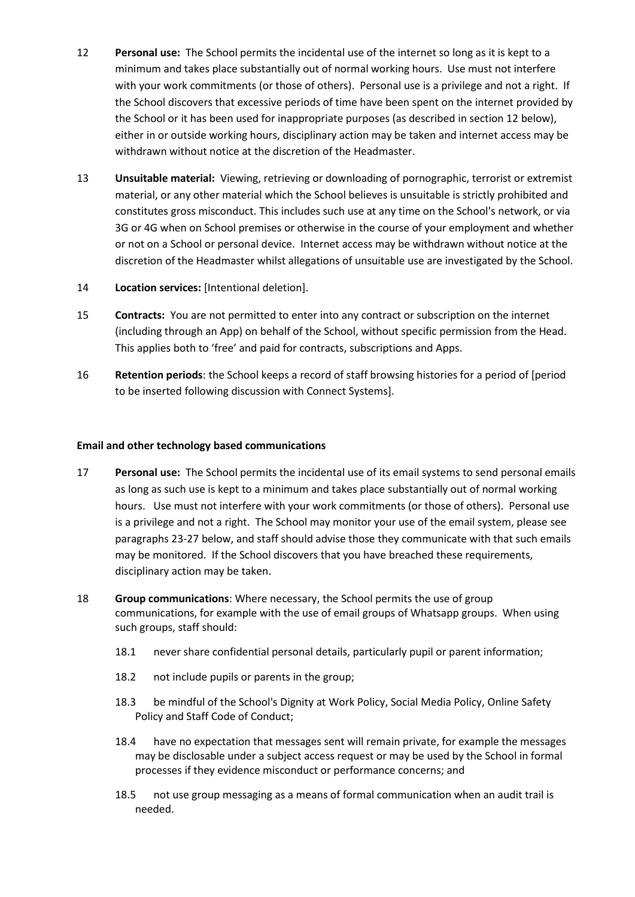- 12 **Personal use:** The School permits the incidental use of the internet so long as it is kept to a minimum and takes place substantially out of normal working hours. Use must not interfere with your work commitments (or those of others). Personal use is a privilege and not a right. If the School discovers that excessive periods of time have been spent on the internet provided by the School or it has been used for inappropriate purposes (as described in section 12 below), either in or outside working hours, disciplinary action may be taken and internet access may be withdrawn without notice at the discretion of the Headmaster.
- 13 **Unsuitable material:** Viewing, retrieving or downloading of pornographic, terrorist or extremist material, or any other material which the School believes is unsuitable is strictly prohibited and constitutes gross misconduct. This includes such use at any time on the School's network, or via 3G or 4G when on School premises or otherwise in the course of your employment and whether or not on a School or personal device. Internet access may be withdrawn without notice at the discretion of the Headmaster whilst allegations of unsuitable use are investigated by the School.
- 14 **Location services:** [Intentional deletion].
- 15 **Contracts:** You are not permitted to enter into any contract or subscription on the internet (including through an App) on behalf of the School, without specific permission from the Head. This applies both to 'free' and paid for contracts, subscriptions and Apps.
- 16 **Retention periods**: the School keeps a record of staff browsing histories for a period of [period to be inserted following discussion with Connect Systems].

## **Email and other technology based communications**

- 17 **Personal use:** The School permits the incidental use of its email systems to send personal emails as long as such use is kept to a minimum and takes place substantially out of normal working hours. Use must not interfere with your work commitments (or those of others). Personal use is a privilege and not a right. The School may monitor your use of the email system, please see paragraphs 23-27 below, and staff should advise those they communicate with that such emails may be monitored. If the School discovers that you have breached these requirements, disciplinary action may be taken.
- 18 **Group communications**: Where necessary, the School permits the use of group communications, for example with the use of email groups of Whatsapp groups. When using such groups, staff should:
	- 18.1 never share confidential personal details, particularly pupil or parent information;
	- 18.2 not include pupils or parents in the group;
	- 18.3 be mindful of the School's Dignity at Work Policy, Social Media Policy, Online Safety Policy and Staff Code of Conduct;
	- 18.4 have no expectation that messages sent will remain private, for example the messages may be disclosable under a subject access request or may be used by the School in formal processes if they evidence misconduct or performance concerns; and
	- 18.5 not use group messaging as a means of formal communication when an audit trail is needed.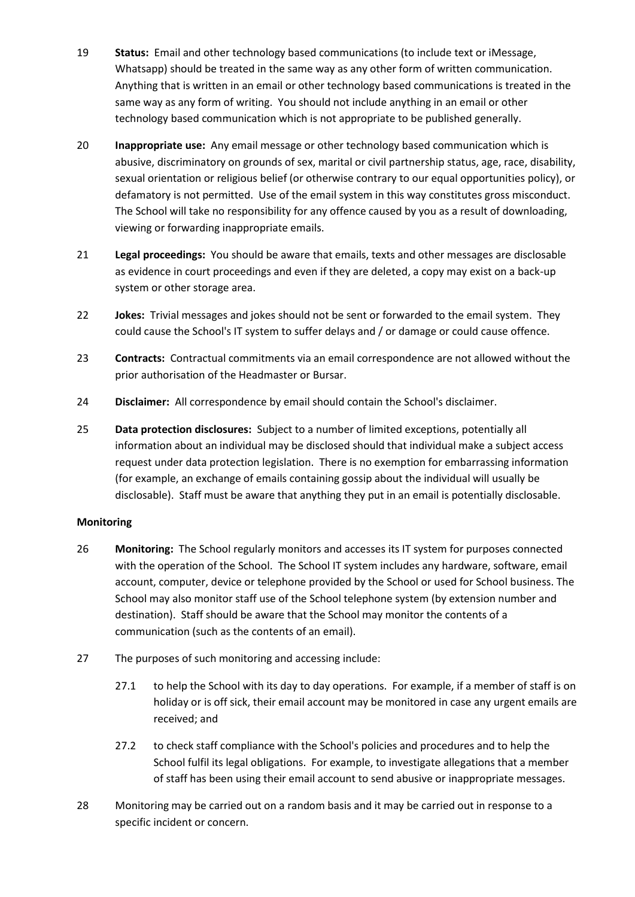- 19 **Status:** Email and other technology based communications (to include text or iMessage, Whatsapp) should be treated in the same way as any other form of written communication. Anything that is written in an email or other technology based communications is treated in the same way as any form of writing. You should not include anything in an email or other technology based communication which is not appropriate to be published generally.
- 20 **Inappropriate use:** Any email message or other technology based communication which is abusive, discriminatory on grounds of sex, marital or civil partnership status, age, race, disability, sexual orientation or religious belief (or otherwise contrary to our equal opportunities policy), or defamatory is not permitted. Use of the email system in this way constitutes gross misconduct. The School will take no responsibility for any offence caused by you as a result of downloading, viewing or forwarding inappropriate emails.
- 21 **Legal proceedings:** You should be aware that emails, texts and other messages are disclosable as evidence in court proceedings and even if they are deleted, a copy may exist on a back-up system or other storage area.
- 22 **Jokes:** Trivial messages and jokes should not be sent or forwarded to the email system. They could cause the School's IT system to suffer delays and / or damage or could cause offence.
- 23 **Contracts:** Contractual commitments via an email correspondence are not allowed without the prior authorisation of the Headmaster or Bursar.
- 24 **Disclaimer:** All correspondence by email should contain the School's disclaimer.
- 25 **Data protection disclosures:** Subject to a number of limited exceptions, potentially all information about an individual may be disclosed should that individual make a subject access request under data protection legislation. There is no exemption for embarrassing information (for example, an exchange of emails containing gossip about the individual will usually be disclosable). Staff must be aware that anything they put in an email is potentially disclosable.

## **Monitoring**

- 26 **Monitoring:** The School regularly monitors and accesses its IT system for purposes connected with the operation of the School. The School IT system includes any hardware, software, email account, computer, device or telephone provided by the School or used for School business. The School may also monitor staff use of the School telephone system (by extension number and destination). Staff should be aware that the School may monitor the contents of a communication (such as the contents of an email).
- 27 The purposes of such monitoring and accessing include:
	- 27.1 to help the School with its day to day operations. For example, if a member of staff is on holiday or is off sick, their email account may be monitored in case any urgent emails are received; and
	- 27.2 to check staff compliance with the School's policies and procedures and to help the School fulfil its legal obligations. For example, to investigate allegations that a member of staff has been using their email account to send abusive or inappropriate messages.
- 28 Monitoring may be carried out on a random basis and it may be carried out in response to a specific incident or concern.